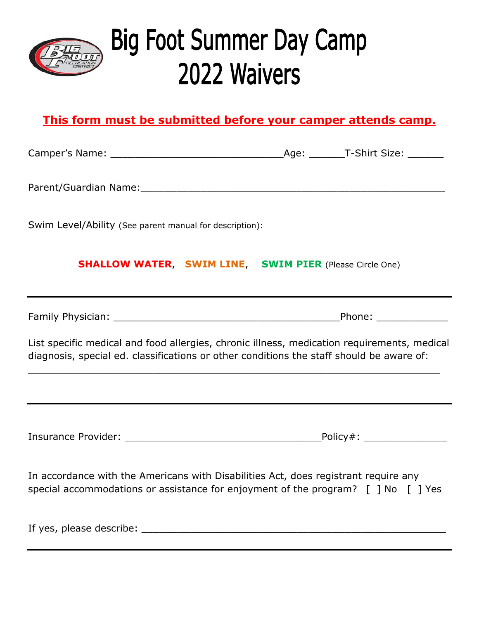

# **Big Foot Summer Day Camp** 2022 Waivers

### **This form must be submitted before your camper attends camp.**

Camper's Name: etc. and the camper's Name: the campus of the campus of the campus of the campus of the campus o

Parent/Guardian Name:\_\_\_\_\_\_\_\_\_\_\_\_\_\_\_\_\_\_\_\_\_\_\_\_\_\_\_\_\_\_\_\_\_\_\_\_\_\_\_\_\_\_\_\_\_\_\_\_\_\_\_

Swim Level/Ability (See parent manual for description):

#### **SHALLOW WATER**, **SWIM LINE**, **SWIM PIER** (Please Circle One)

Family Physician: \_\_\_\_\_\_\_\_\_\_\_\_\_\_\_\_\_\_\_\_\_\_\_\_\_\_\_\_\_\_\_\_\_\_\_\_\_\_Phone: \_\_\_\_\_\_\_\_\_\_\_\_

List specific medical and food allergies, chronic illness, medication requirements, medical diagnosis, special ed. classifications or other conditions the staff should be aware of:

Insurance Provider: \_\_\_\_\_\_\_\_\_\_\_\_\_\_\_\_\_\_\_\_\_\_\_\_\_\_\_\_\_\_\_\_\_Policy#: \_\_\_\_\_\_\_\_\_\_\_\_\_\_

In accordance with the Americans with Disabilities Act, does registrant require any special accommodations or assistance for enjoyment of the program? [ ] No [ ] Yes

If yes, please describe: \_\_\_\_\_\_\_\_\_\_\_\_\_\_\_\_\_\_\_\_\_\_\_\_\_\_\_\_\_\_\_\_\_\_\_\_\_\_\_\_\_\_\_\_\_\_\_\_\_\_\_

\_\_\_\_\_\_\_\_\_\_\_\_\_\_\_\_\_\_\_\_\_\_\_\_\_\_\_\_\_\_\_\_\_\_\_\_\_\_\_\_\_\_\_\_\_\_\_\_\_\_\_\_\_\_\_\_\_\_\_\_\_\_\_\_\_\_\_\_\_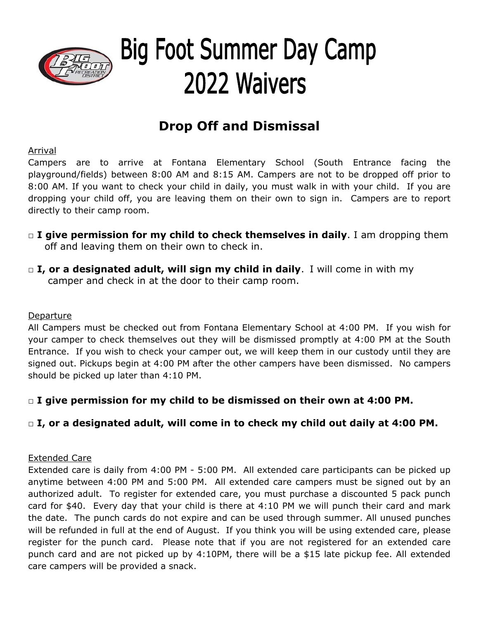

# **Big Foot Summer Day Camp** 2022 Waivers

## **Drop Off and Dismissal**

Arrival

Campers are to arrive at Fontana Elementary School (South Entrance facing the playground/fields) between 8:00 AM and 8:15 AM. Campers are not to be dropped off prior to 8:00 AM. If you want to check your child in daily, you must walk in with your child. If you are dropping your child off, you are leaving them on their own to sign in. Campers are to report directly to their camp room.

- □ **I give permission for my child to check themselves in daily**. I am dropping them off and leaving them on their own to check in.
- □ **I, or a designated adult, will sign my child in daily**. I will come in with my camper and check in at the door to their camp room.

#### Departure

All Campers must be checked out from Fontana Elementary School at 4:00 PM. If you wish for your camper to check themselves out they will be dismissed promptly at 4:00 PM at the South Entrance. If you wish to check your camper out, we will keep them in our custody until they are signed out. Pickups begin at 4:00 PM after the other campers have been dismissed. No campers should be picked up later than 4:10 PM.

#### **□ I give permission for my child to be dismissed on their own at 4:00 PM.**

#### **□ I, or a designated adult, will come in to check my child out daily at 4:00 PM.**

#### Extended Care

Extended care is daily from 4:00 PM - 5:00 PM. All extended care participants can be picked up anytime between 4:00 PM and 5:00 PM. All extended care campers must be signed out by an authorized adult. To register for extended care, you must purchase a discounted 5 pack punch card for \$40. Every day that your child is there at 4:10 PM we will punch their card and mark the date. The punch cards do not expire and can be used through summer. All unused punches will be refunded in full at the end of August. If you think you will be using extended care, please register for the punch card. Please note that if you are not registered for an extended care punch card and are not picked up by 4:10PM, there will be a \$15 late pickup fee. All extended care campers will be provided a snack.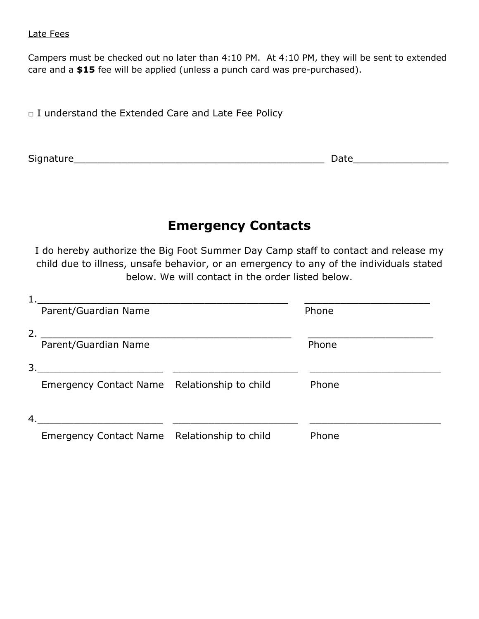#### Late Fees

Campers must be checked out no later than 4:10 PM. At 4:10 PM, they will be sent to extended care and a **\$15** fee will be applied (unless a punch card was pre-purchased).

□ I understand the Extended Care and Late Fee Policy

Signature\_\_\_\_\_\_\_\_\_\_\_\_\_\_\_\_\_\_\_\_\_\_\_\_\_\_\_\_\_\_\_\_\_\_\_\_\_\_\_\_\_\_ Date\_\_\_\_\_\_\_\_\_\_\_\_\_\_\_\_

### **Emergency Contacts**

I do hereby authorize the Big Foot Summer Day Camp staff to contact and release my child due to illness, unsafe behavior, or an emergency to any of the individuals stated below. We will contact in the order listed below.

|    | Parent/Guardian Name                         | Phone |
|----|----------------------------------------------|-------|
| 2. |                                              |       |
|    | Parent/Guardian Name                         | Phone |
| 3. |                                              |       |
|    | Emergency Contact Name Relationship to child | Phone |
| 4. |                                              |       |
|    | Emergency Contact Name Relationship to child | Phone |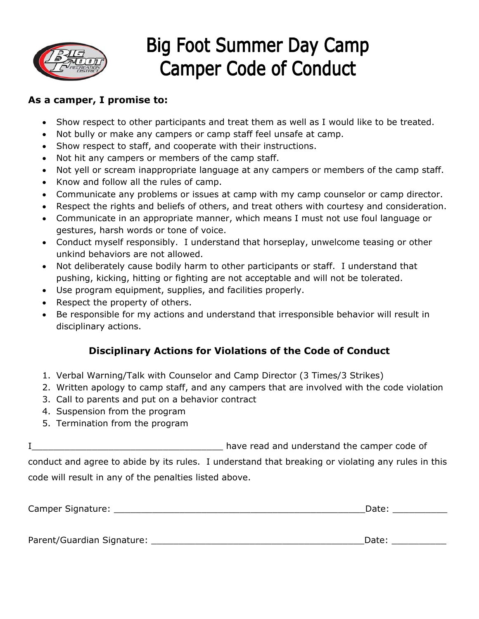

# **Big Foot Summer Day Camp Camper Code of Conduct**

#### **As a camper, I promise to:**

- Show respect to other participants and treat them as well as I would like to be treated.
- Not bully or make any campers or camp staff feel unsafe at camp.
- Show respect to staff, and cooperate with their instructions.
- Not hit any campers or members of the camp staff.
- Not yell or scream inappropriate language at any campers or members of the camp staff.
- Know and follow all the rules of camp.
- Communicate any problems or issues at camp with my camp counselor or camp director.
- Respect the rights and beliefs of others, and treat others with courtesy and consideration.
- Communicate in an appropriate manner, which means I must not use foul language or gestures, harsh words or tone of voice.
- Conduct myself responsibly. I understand that horseplay, unwelcome teasing or other unkind behaviors are not allowed.
- Not deliberately cause bodily harm to other participants or staff. I understand that pushing, kicking, hitting or fighting are not acceptable and will not be tolerated.
- Use program equipment, supplies, and facilities properly.
- Respect the property of others.
- Be responsible for my actions and understand that irresponsible behavior will result in disciplinary actions.

#### **Disciplinary Actions for Violations of the Code of Conduct**

- 1. Verbal Warning/Talk with Counselor and Camp Director (3 Times/3 Strikes)
- 2. Written apology to camp staff, and any campers that are involved with the code violation
- 3. Call to parents and put on a behavior contract
- 4. Suspension from the program
- 5. Termination from the program

I\_\_\_\_\_\_\_\_\_\_\_\_\_\_\_\_\_\_\_\_\_\_\_\_\_\_\_\_\_\_\_\_\_\_\_ have read and understand the camper code of

conduct and agree to abide by its rules. I understand that breaking or violating any rules in this code will result in any of the penalties listed above.

| Camper Signature: |  |
|-------------------|--|
|                   |  |

Parent/Guardian Signature: \_\_\_\_\_\_\_\_\_\_\_\_\_\_\_\_\_\_\_\_\_\_\_\_\_\_\_\_\_\_\_\_\_\_\_\_\_\_\_Date: \_\_\_\_\_\_\_\_\_\_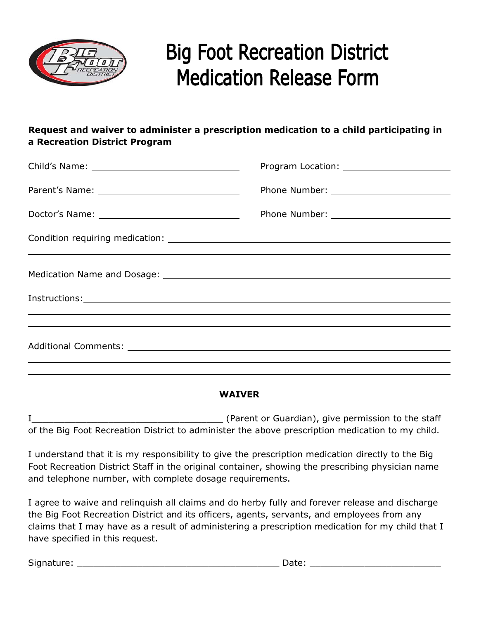

# **Big Foot Recreation District Medication Release Form**

#### **Request and waiver to administer a prescription medication to a child participating in a Recreation District Program**

#### **WAIVER**

I\_\_\_\_\_\_\_\_\_\_\_\_\_\_\_\_\_\_\_\_\_\_\_\_\_\_\_\_\_\_\_\_\_\_\_ (Parent or Guardian), give permission to the staff of the Big Foot Recreation District to administer the above prescription medication to my child.

I understand that it is my responsibility to give the prescription medication directly to the Big Foot Recreation District Staff in the original container, showing the prescribing physician name and telephone number, with complete dosage requirements.

I agree to waive and relinquish all claims and do herby fully and forever release and discharge the Big Foot Recreation District and its officers, agents, servants, and employees from any claims that I may have as a result of administering a prescription medication for my child that I have specified in this request.

Signature: \_\_\_\_\_\_\_\_\_\_\_\_\_\_\_\_\_\_\_\_\_\_\_\_\_\_\_\_\_\_\_\_\_\_\_\_\_ Date: \_\_\_\_\_\_\_\_\_\_\_\_\_\_\_\_\_\_\_\_\_\_\_\_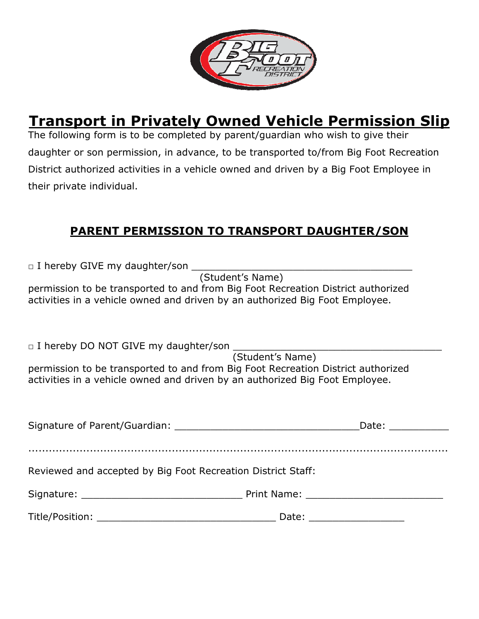

## **Transport in Privately Owned Vehicle Permission Slip**

The following form is to be completed by parent/guardian who wish to give their daughter or son permission, in advance, to be transported to/from Big Foot Recreation District authorized activities in a vehicle owned and driven by a Big Foot Employee in their private individual.

#### **PARENT PERMISSION TO TRANSPORT DAUGHTER/SON**

 $\Box$  I hereby GIVE my daughter/son

(Student's Name)

permission to be transported to and from Big Foot Recreation District authorized activities in a vehicle owned and driven by an authorized Big Foot Employee.

 $\Box$  I hereby DO NOT GIVE my daughter/son

 (Student's Name) permission to be transported to and from Big Foot Recreation District authorized activities in a vehicle owned and driven by an authorized Big Foot Employee.

|                                                              | Date: ___________       |  |
|--------------------------------------------------------------|-------------------------|--|
|                                                              |                         |  |
| Reviewed and accepted by Big Foot Recreation District Staff: |                         |  |
|                                                              |                         |  |
|                                                              | Date: _________________ |  |